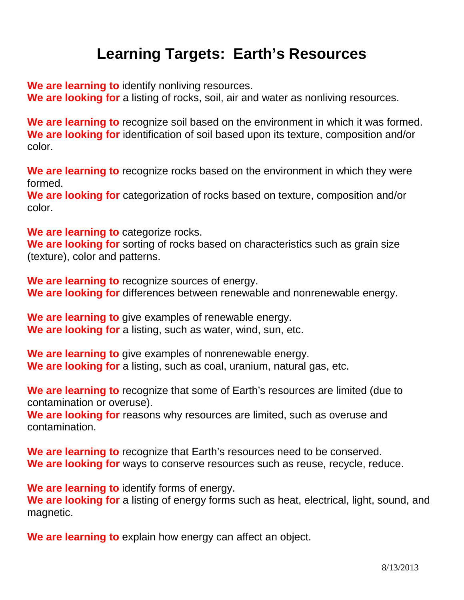## **Learning Targets: Earth's Resources**

**We are learning to** identify nonliving resources.

**We are looking for** a listing of rocks, soil, air and water as nonliving resources.

**We are learning to** recognize soil based on the environment in which it was formed. **We are looking for** identification of soil based upon its texture, composition and/or color.

**We are learning to** recognize rocks based on the environment in which they were formed.

**We are looking for** categorization of rocks based on texture, composition and/or color.

**We are learning to** categorize rocks.

**We are looking for** sorting of rocks based on characteristics such as grain size (texture), color and patterns.

**We are learning to** recognize sources of energy. **We are looking for** differences between renewable and nonrenewable energy.

**We are learning to** give examples of renewable energy. **We are looking for** a listing, such as water, wind, sun, etc.

**We are learning to** give examples of nonrenewable energy. **We are looking for** a listing, such as coal, uranium, natural gas, etc.

**We are learning to** recognize that some of Earth's resources are limited (due to contamination or overuse).

**We are looking for** reasons why resources are limited, such as overuse and contamination.

**We are learning to** recognize that Earth's resources need to be conserved. **We are looking for** ways to conserve resources such as reuse, recycle, reduce.

**We are learning to** identify forms of energy. **We are looking for** a listing of energy forms such as heat, electrical, light, sound, and magnetic.

**We are learning to** explain how energy can affect an object.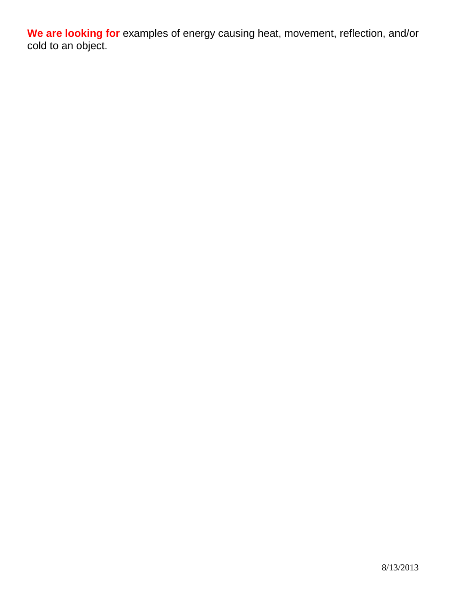**We are looking for** examples of energy causing heat, movement, reflection, and/or cold to an object.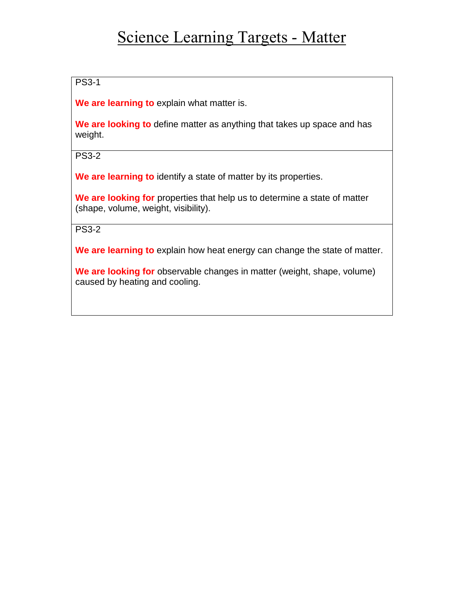## Science Learning Targets - Matter

PS3-1

**We are learning to** explain what matter is.

**We are looking to** define matter as anything that takes up space and has weight.

PS3-2

**We are learning to** identify a state of matter by its properties.

**We are looking for** properties that help us to determine a state of matter (shape, volume, weight, visibility).

PS3-2

**We are learning to** explain how heat energy can change the state of matter.

**We are looking for** observable changes in matter (weight, shape, volume) caused by heating and cooling.